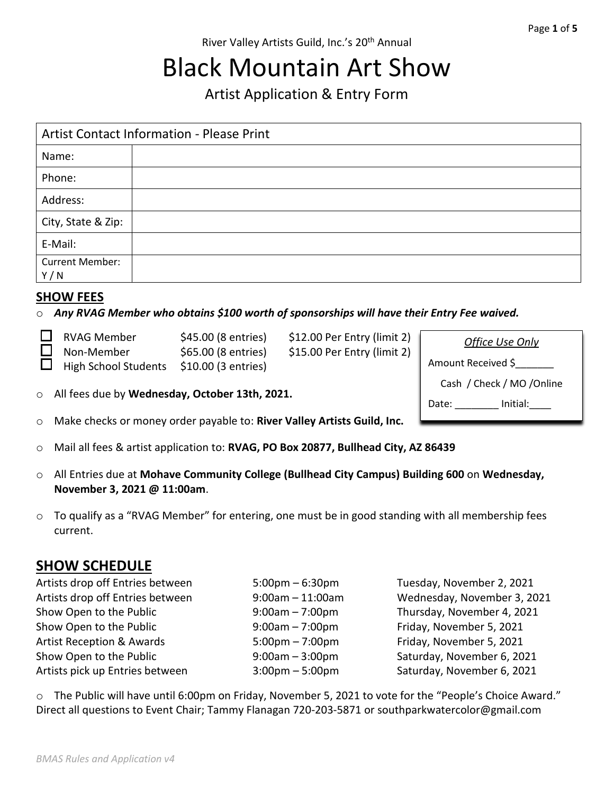# Black Mountain Art Show

Artist Application & Entry Form

| <b>Artist Contact Information - Please Print</b> |  |  |
|--------------------------------------------------|--|--|
| Name:                                            |  |  |
| Phone:                                           |  |  |
| Address:                                         |  |  |
| City, State & Zip:                               |  |  |
| E-Mail:                                          |  |  |
| <b>Current Member:</b><br>Y/N                    |  |  |

#### **SHOW FEES**

o *Any RVAG Member who obtains \$100 worth of sponsorships will have their Entry Fee waived.*

| $\Box$ RVAG Member          | \$45.00 (8 entries) | $$12.00$ Per Entry (limit 2) | Office Use Only    |
|-----------------------------|---------------------|------------------------------|--------------------|
| $\Box$ Non-Member           | \$65.00 (8 entries) |                              |                    |
| $\Box$ High School Students | \$10.00 (3 entries) |                              | Amount Received \$ |

o All fees due by **Wednesday, October 13th, 2021.**

|  |  |  | o Make checks or money order payable to: River Valley Artists Guild, Inc. |
|--|--|--|---------------------------------------------------------------------------|
|--|--|--|---------------------------------------------------------------------------|

- o Mail all fees & artist application to: **RVAG, PO Box 20877, Bullhead City, AZ 86439**
- o All Entries due at **Mohave Community College (Bullhead City Campus) Building 600** on **Wednesday, November 3, 2021 @ 11:00am**.
- $\circ$  To qualify as a "RVAG Member" for entering, one must be in good standing with all membership fees current.

### **SHOW SCHEDULE**

- 
- Artists drop off Entries between 5:00pm 6:30pm Tuesday, November 2, 2021 9:00am – 11:00am Wednesday, November 3, 2021 9:00am – 7:00pm Thursday, November 4, 2021 9:00am – 7:00pm Friday, November 5, 2021 5:00pm – 7:00pm Friday, November 5, 2021 9:00am – 3:00pm Saturday, November 6, 2021 Artists pick up Entries between 3:00pm – 5:00pm Saturday, November 6, 2021

Cash / Check / MO /Online

Date: lnitial:

o The Public will have until 6:00pm on Friday, November 5, 2021 to vote for the "People's Choice Award." Direct all questions to Event Chair; Tammy Flanagan 720-203-5871 or southparkwatercolor@gmail.com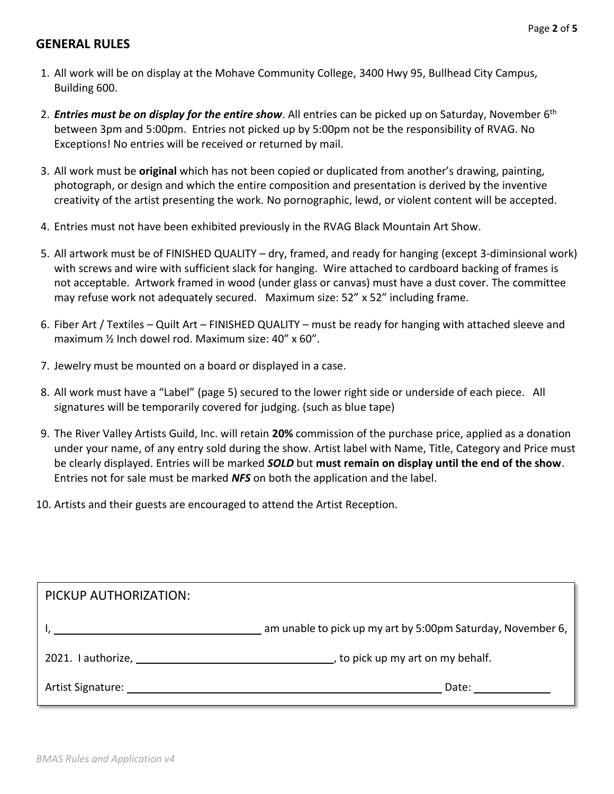#### **GENERAL RULES**

- 1. All work will be on display at the Mohave Community College, 3400 Hwy 95, Bullhead City Campus, Building 600.
- 2. *Entries must be on display for the entire show*. All entries can be picked up on Saturday, November 6<sup>th</sup> between 3pm and 5:00pm. Entries not picked up by 5:00pm not be the responsibility of RVAG. No Exceptions! No entries will be received or returned by mail.
- 3. All work must be **original** which has not been copied or duplicated from another's drawing, painting, photograph, or design and which the entire composition and presentation is derived by the inventive creativity of the artist presenting the work. No pornographic, lewd, or violent content will be accepted.
- 4. Entries must not have been exhibited previously in the RVAG Black Mountain Art Show.
- 5. All artwork must be of FINISHED QUALITY dry, framed, and ready for hanging (except 3-diminsional work) with screws and wire with sufficient slack for hanging. Wire attached to cardboard backing of frames is not acceptable. Artwork framed in wood (under glass or canvas) must have a dust cover. The committee may refuse work not adequately secured. Maximum size: 52" x 52" including frame.
- 6. Fiber Art / Textiles Quilt Art FINISHED QUALITY must be ready for hanging with attached sleeve and maximum ½ Inch dowel rod. Maximum size: 40" x 60".
- 7. Jewelry must be mounted on a board or displayed in a case.
- 8. All work must have a "Label" (page 5) secured to the lower right side or underside of each piece. All signatures will be temporarily covered for judging. (such as blue tape)
- 9. The River Valley Artists Guild, Inc. will retain **20%** commission of the purchase price, applied as a donation under your name, of any entry sold during the show. Artist label with Name, Title, Category and Price must be clearly displayed. Entries will be marked *SOLD* but **must remain on display until the end of the show**. Entries not for sale must be marked *NFS* on both the application and the label.
- 10. Artists and their guests are encouraged to attend the Artist Reception.

| PICKUP AUTHORIZATION:                                                                                                                                                                                                          |                                                             |
|--------------------------------------------------------------------------------------------------------------------------------------------------------------------------------------------------------------------------------|-------------------------------------------------------------|
|                                                                                                                                                                                                                                | am unable to pick up my art by 5:00pm Saturday, November 6, |
| 2021. I authorize, the control of the control of the control of the control of the control of the control of the control of the control of the control of the control of the control of the control of the control of the cont | $\Box$ , to pick up my art on my behalf.                    |
| Artist Signature:                                                                                                                                                                                                              | Date:                                                       |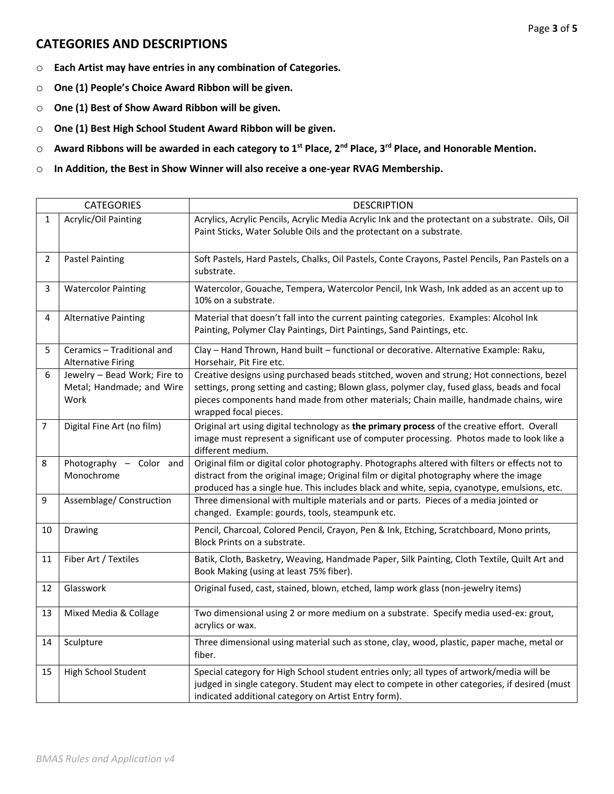#### **CATEGORIES AND DESCRIPTIONS**

- o **Each Artist may have entries in any combination of Categories.**
- o **One (1) People's Choice Award Ribbon will be given.**
- o **One (1) Best of Show Award Ribbon will be given.**
- o **One (1) Best High School Student Award Ribbon will be given.**
- o **Award Ribbons will be awarded in each category to 1st Place, 2nd Place, 3rd Place, and Honorable Mention.**
- o **In Addition, the Best in Show Winner will also receive a one-year RVAG Membership.**

|    | <b>CATEGORIES</b>                                                 | <b>DESCRIPTION</b>                                                                                                                                                                                                                                                                                          |
|----|-------------------------------------------------------------------|-------------------------------------------------------------------------------------------------------------------------------------------------------------------------------------------------------------------------------------------------------------------------------------------------------------|
| 1  | Acrylic/Oil Painting                                              | Acrylics, Acrylic Pencils, Acrylic Media Acrylic Ink and the protectant on a substrate. Oils, Oil<br>Paint Sticks, Water Soluble Oils and the protectant on a substrate.                                                                                                                                    |
| 2  | <b>Pastel Painting</b>                                            | Soft Pastels, Hard Pastels, Chalks, Oil Pastels, Conte Crayons, Pastel Pencils, Pan Pastels on a<br>substrate.                                                                                                                                                                                              |
| 3  | <b>Watercolor Painting</b>                                        | Watercolor, Gouache, Tempera, Watercolor Pencil, Ink Wash, Ink added as an accent up to<br>10% on a substrate.                                                                                                                                                                                              |
| 4  | <b>Alternative Painting</b>                                       | Material that doesn't fall into the current painting categories. Examples: Alcohol Ink<br>Painting, Polymer Clay Paintings, Dirt Paintings, Sand Paintings, etc.                                                                                                                                            |
| 5  | Ceramics - Traditional and<br><b>Alternative Firing</b>           | Clay - Hand Thrown, Hand built - functional or decorative. Alternative Example: Raku,<br>Horsehair, Pit Fire etc.                                                                                                                                                                                           |
| 6  | Jewelry - Bead Work; Fire to<br>Metal; Handmade; and Wire<br>Work | Creative designs using purchased beads stitched, woven and strung; Hot connections, bezel<br>settings, prong setting and casting; Blown glass, polymer clay, fused glass, beads and focal<br>pieces components hand made from other materials; Chain maille, handmade chains, wire<br>wrapped focal pieces. |
| 7  | Digital Fine Art (no film)                                        | Original art using digital technology as the primary process of the creative effort. Overall<br>image must represent a significant use of computer processing. Photos made to look like a<br>different medium.                                                                                              |
| 8  | Photography - Color and<br>Monochrome                             | Original film or digital color photography. Photographs altered with filters or effects not to<br>distract from the original image; Original film or digital photography where the image<br>produced has a single hue. This includes black and white, sepia, cyanotype, emulsions, etc.                     |
| 9  | Assemblage/ Construction                                          | Three dimensional with multiple materials and or parts. Pieces of a media jointed or<br>changed. Example: gourds, tools, steampunk etc.                                                                                                                                                                     |
| 10 | Drawing                                                           | Pencil, Charcoal, Colored Pencil, Crayon, Pen & Ink, Etching, Scratchboard, Mono prints,<br>Block Prints on a substrate.                                                                                                                                                                                    |
| 11 | Fiber Art / Textiles                                              | Batik, Cloth, Basketry, Weaving, Handmade Paper, Silk Painting, Cloth Textile, Quilt Art and<br>Book Making (using at least 75% fiber).                                                                                                                                                                     |
| 12 | Glasswork                                                         | Original fused, cast, stained, blown, etched, lamp work glass (non-jewelry items)                                                                                                                                                                                                                           |
| 13 | Mixed Media & Collage                                             | Two dimensional using 2 or more medium on a substrate. Specify media used-ex: grout,<br>acrylics or wax.                                                                                                                                                                                                    |
| 14 | Sculpture                                                         | Three dimensional using material such as stone, clay, wood, plastic, paper mache, metal or<br>fiber.                                                                                                                                                                                                        |
| 15 | High School Student                                               | Special category for High School student entries only; all types of artwork/media will be<br>judged in single category. Student may elect to compete in other categories, if desired (must<br>indicated additional category on Artist Entry form).                                                          |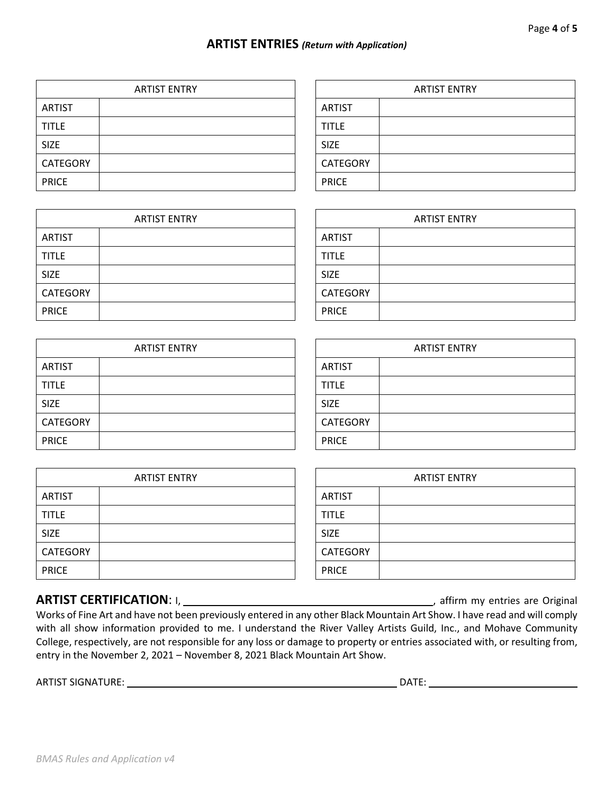#### **ARTIST ENTRIES** *(Return with Application)*

**CATEGORY** 

|                 | <b>ARTIST ENTRY</b> |                 |
|-----------------|---------------------|-----------------|
| <b>ARTIST</b>   |                     | <b>ARTIST</b>   |
| <b>TITLE</b>    |                     | <b>TITLE</b>    |
| <b>SIZE</b>     |                     | <b>SIZE</b>     |
| <b>CATEGORY</b> |                     | <b>CATEGORY</b> |
| <b>PRICE</b>    |                     | <b>PRICE</b>    |

| <b>ARTIST ENTRY</b> | <b>ARTIST ENTRY</b> |  |  |
|---------------------|---------------------|--|--|
|                     | <b>ARTIST</b>       |  |  |
|                     | <b>TITLE</b>        |  |  |
|                     | SIZE                |  |  |
|                     | <b>CATEGORY</b>     |  |  |
|                     | <b>PRICE</b>        |  |  |

**ARTIST ENTRY** 

|                 | <b>ARTIST ENTRY</b> |               |
|-----------------|---------------------|---------------|
| <b>ARTIST</b>   |                     | <b>ARTIST</b> |
| <b>TITLE</b>    |                     | <b>TITLE</b>  |
| <b>SIZE</b>     |                     | <b>SIZE</b>   |
| <b>CATEGORY</b> |                     | <b>CATEG</b>  |
| <b>PRICE</b>    |                     | <b>PRICE</b>  |

| <b>ARTIST ENTRY</b> |  |                 | <b>ARTIST ENTRY</b> |
|---------------------|--|-----------------|---------------------|
| <b>ARTIST</b>       |  | <b>ARTIST</b>   |                     |
| <b>TITLE</b>        |  | <b>TITLE</b>    |                     |
| <b>SIZE</b>         |  | <b>SIZE</b>     |                     |
| CATEGORY            |  | <b>CATEGORY</b> |                     |
| <b>PRICE</b>        |  | <b>PRICE</b>    |                     |

| <b>ARTIST ENTRY</b> |  |                 | <b>ARTIST ENTRY</b> |
|---------------------|--|-----------------|---------------------|
| <b>ARTIST</b>       |  | <b>ARTIST</b>   |                     |
| <b>TITLE</b>        |  | <b>TITLE</b>    |                     |
| <b>SIZE</b>         |  | <b>SIZE</b>     |                     |
| CATEGORY            |  | <b>CATEGORY</b> |                     |
| <b>PRICE</b>        |  | <b>PRICE</b>    |                     |

## **ARTIST CERTIFICATION**: I, , affirm my entries are Original

Works of Fine Art and have not been previously entered in any other Black Mountain Art Show. I have read and will comply with all show information provided to me. I understand the River Valley Artists Guild, Inc., and Mohave Community College, respectively, are not responsible for any loss or damage to property or entries associated with, or resulting from, entry in the November 2, 2021 – November 8, 2021 Black Mountain Art Show.

ARTIST SIGNATURE: DATE:

| <b>ARTIST ENTRY</b> |  |  |
|---------------------|--|--|
| <b>ARTIST</b>       |  |  |
| <b>TITLE</b>        |  |  |
| <b>SIZE</b>         |  |  |
| CATEGORY            |  |  |
| <b>PRICE</b>        |  |  |

| <b>ARTIST ENTRY</b> |  |  |
|---------------------|--|--|
| <b>ARTIST</b>       |  |  |
| <b>TITLE</b>        |  |  |
| <b>SIZE</b>         |  |  |
| <b>CATEGORY</b>     |  |  |
| <b>PRICE</b>        |  |  |